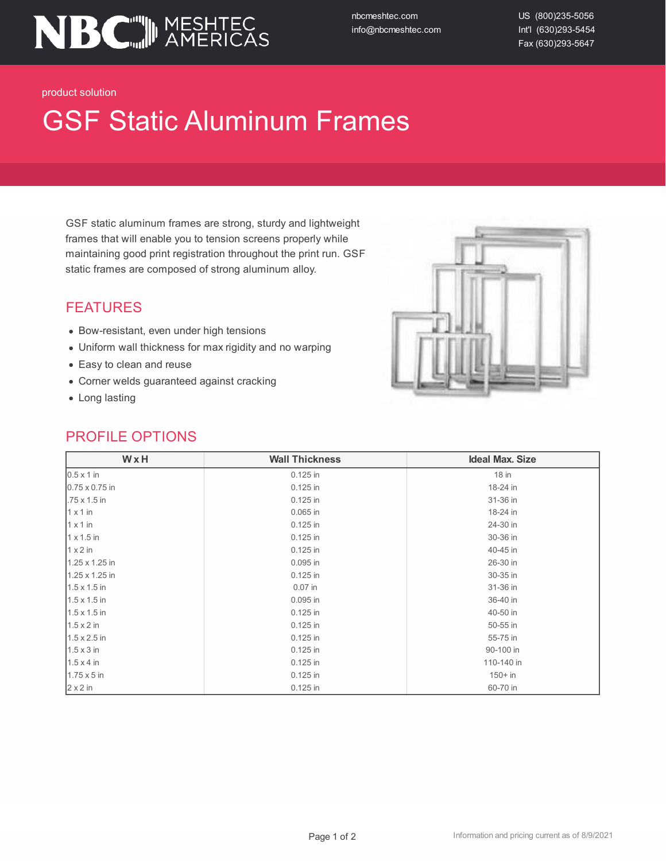

nbcmeshtec.com info@nbcmeshtec.com US (800)235-5056 Int'l (630)293-5454 Fax (630)293-5647

product solution

# GSF Static Aluminum Frames

GSF static aluminum frames are strong, sturdy and lightweight frames that will enable you to tension screens properly while maintaining good print registration throughout the print run. GSF static frames are composed of strong aluminum alloy.

## FEATURES

- Bow-resistant, even under high tensions
- Uniform wall thickness for max rigidity and no warping
- Easy to clean and reuse
- Corner welds guaranteed against cracking
- Long lasting

#### PROFILE OPTIONS



| WxH<br><b>Wall Thickness</b> |            | <b>Ideal Max. Size</b> |  |
|------------------------------|------------|------------------------|--|
| $0.5 \times 1$ in            | 0.125 in   | $18$ in                |  |
| $0.75 \times 0.75$ in        | 0.125 in   | 18-24 in               |  |
| $.75 \times 1.5$ in          | 0.125 in   | 31-36 in               |  |
| $1 \times 1$ in              | 0.065 in   | 18-24 in               |  |
| $1 \times 1$ in              | 0.125 in   | 24-30 in               |  |
| $1 \times 1.5$ in            | 0.125 in   | 30-36 in               |  |
| $1 \times 2$ in              | 0.125 in   | 40-45 in               |  |
| 1.25 x 1.25 in               | 0.095 in   | 26-30 in               |  |
| 1.25 x 1.25 in               | $0.125$ in | 30-35 in               |  |
| $1.5 \times 1.5$ in          | $0.07$ in  | 31-36 in               |  |
| $1.5 \times 1.5$ in          | 0.095 in   | 36-40 in               |  |
| $1.5 \times 1.5$ in          | 0.125 in   | 40-50 in               |  |
| $1.5 \times 2$ in            | 0.125 in   | 50-55 in               |  |
| $1.5 \times 2.5$ in          | 0.125 in   | 55-75 in               |  |
| $1.5 \times 3$ in            | 0.125 in   | 90-100 in              |  |
| $1.5 \times 4$ in            | 0.125 in   | 110-140 in             |  |
| $1.75 \times 5$ in           | 0.125 in   | $150 + in$             |  |
| $2 \times 2$ in              | 0.125 in   | 60-70 in               |  |